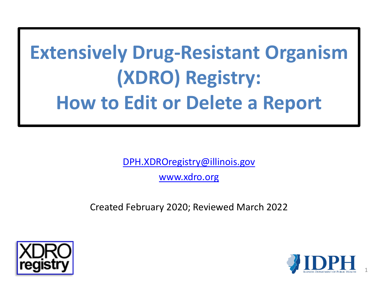# **Extensively Drug-Resistant Organism (XDRO) Registry: How to Edit or Delete a Report**

[DPH.XDROregistry@illinois.gov](mailto:DPH.XDROregistry@illinois.gov)

[www.xdro.org](http://www.xdro.org/)

Created February 2020; Reviewed March 2022



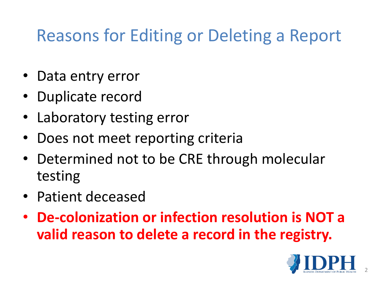### Reasons for Editing or Deleting a Report

- Data entry error
- Duplicate record
- Laboratory testing error
- Does not meet reporting criteria
- Determined not to be CRE through molecular testing
- Patient deceased
- **De-colonization or infection resolution is NOT a valid reason to delete a record in the registry.**

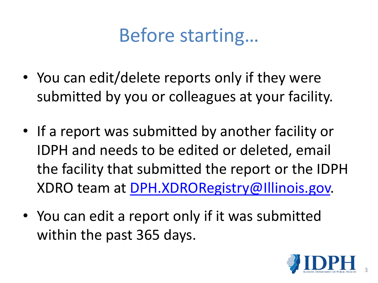## Before starting…

- You can edit/delete reports only if they were submitted by you or colleagues at your facility.
- If a report was submitted by another facility or IDPH and needs to be edited or deleted, email the facility that submitted the report or the IDPH XDRO team at [DPH.XDRORegistry@Illinois.gov.](mailto:DPH.XDRORegistry@Illinois.gov)
- You can edit a report only if it was submitted within the past 365 days.

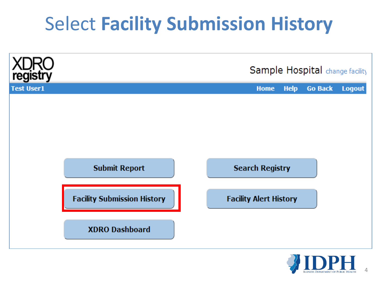## Select **Facility Submission History**



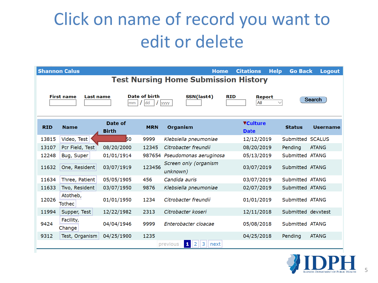## Click on name of record you want to edit or delete

| <b>Shannon Calus</b>                                                                                          |                     |              |            | <b>Home</b>                       | <b>Citations</b><br><b>Help</b> | <b>Go Back</b><br><b>Logout</b>  |  |  |  |  |  |
|---------------------------------------------------------------------------------------------------------------|---------------------|--------------|------------|-----------------------------------|---------------------------------|----------------------------------|--|--|--|--|--|
| <b>Test Nursing Home Submission History</b>                                                                   |                     |              |            |                                   |                                 |                                  |  |  |  |  |  |
|                                                                                                               |                     |              |            |                                   |                                 |                                  |  |  |  |  |  |
| Date of birth<br>SSN(last4)<br><b>RID</b><br><b>First name</b><br>Last name<br><b>Report</b><br><b>Search</b> |                     |              |            |                                   |                                 |                                  |  |  |  |  |  |
| All<br><b>dd</b><br>mm<br><b>yyyy</b>                                                                         |                     |              |            |                                   |                                 |                                  |  |  |  |  |  |
|                                                                                                               |                     |              |            |                                   |                                 |                                  |  |  |  |  |  |
|                                                                                                               |                     | Date of      |            |                                   | <b>VCulture</b>                 |                                  |  |  |  |  |  |
| <b>RID</b>                                                                                                    | <b>Name</b>         | <b>Birth</b> | <b>MRN</b> | <b>Organism</b>                   | <b>Date</b>                     | <b>Status</b><br><b>Username</b> |  |  |  |  |  |
| 13815                                                                                                         | Video, Test         | 50           | 9999       | Klebsiella pneumoniae             | 12/12/2019                      | Submitted SCALUS                 |  |  |  |  |  |
| 13107                                                                                                         | Pcr Field, Test     | 08/20/2000   | 12345      | Citrobacter freundii              | 08/20/2019                      | Pending<br><b>ATANG</b>          |  |  |  |  |  |
| 12248                                                                                                         | Bug, Super          | 01/01/1914   | 987654     | Pseudomonas aeruginosa            | 05/13/2019                      | Submitted ATANG                  |  |  |  |  |  |
| 11632                                                                                                         | One, Resident       | 03/07/1919   | 123456     | Screen only (organism<br>unknown) | 03/07/2019                      | Submitted ATANG                  |  |  |  |  |  |
| 11634                                                                                                         | Three, Patient      | 05/05/1905   | 456        | Candida auris                     | 03/07/2019                      | Submitted ATANG                  |  |  |  |  |  |
| 11633                                                                                                         | Two, Resident       | 03/07/1950   | 9876       | Klebsiella pneumoniae             | 02/07/2019                      | Submitted ATANG                  |  |  |  |  |  |
| 12026                                                                                                         | Atotheb,<br>Tothec  | 01/01/1950   | 1234       | Citrobacter freundii              | 01/01/2019                      | Submitted ATANG                  |  |  |  |  |  |
| 11994                                                                                                         | Supper, Test        | 12/22/1982   | 2313       | Citrobacter koseri                | 12/11/2018                      | Submitted devxtest               |  |  |  |  |  |
| 9424                                                                                                          | Facility,<br>Change | 04/04/1946   | 9999       | Enterobacter cloacae              | 05/08/2018                      | Submitted ATANG                  |  |  |  |  |  |
| 9312                                                                                                          | Test, Organism      | 04/25/1900   | 1235       |                                   | 04/25/2018                      | Pending<br><b>ATANG</b>          |  |  |  |  |  |
| $\vert$ 1 $\vert$<br>3<br>$\vert$ 2<br>previous<br>next                                                       |                     |              |            |                                   |                                 |                                  |  |  |  |  |  |

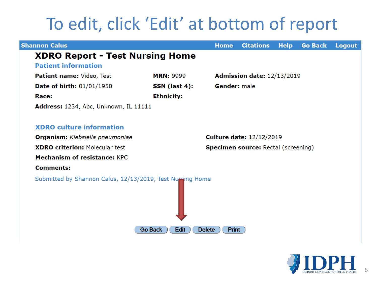### To edit, click 'Edit' at bottom of report

| <b>Shannon Calus</b>                                      | <b>Home</b>                                | <b>Citations</b>    | <b>Help</b>                | <b>Go Back</b> | <b>Logout</b> |  |  |  |
|-----------------------------------------------------------|--------------------------------------------|---------------------|----------------------------|----------------|---------------|--|--|--|
| <b>XDRO Report - Test Nursing Home</b>                    |                                            |                     |                            |                |               |  |  |  |
| <b>Patient information</b>                                |                                            |                     |                            |                |               |  |  |  |
| Patient name: Video, Test                                 | <b>MRN: 9999</b>                           |                     | Admission date: 12/13/2019 |                |               |  |  |  |
| Date of birth: 01/01/1950<br>SSN (last 4):                |                                            | <b>Gender:</b> male |                            |                |               |  |  |  |
| Race:                                                     | <b>Ethnicity:</b>                          |                     |                            |                |               |  |  |  |
| Address: 1234, Abc, Unknown, IL 11111                     |                                            |                     |                            |                |               |  |  |  |
|                                                           |                                            |                     |                            |                |               |  |  |  |
| <b>XDRO</b> culture information                           |                                            |                     |                            |                |               |  |  |  |
| Organism: Klebsiella pneumoniae                           | <b>Culture date: 12/12/2019</b>            |                     |                            |                |               |  |  |  |
| <b>XDRO criterion: Molecular test</b>                     | <b>Specimen source: Rectal (screening)</b> |                     |                            |                |               |  |  |  |
| <b>Mechanism of resistance: KPC</b>                       |                                            |                     |                            |                |               |  |  |  |
| <b>Comments:</b>                                          |                                            |                     |                            |                |               |  |  |  |
| Submitted by Shannon Calus, 12/13/2019, Test Nursing Home |                                            |                     |                            |                |               |  |  |  |
|                                                           |                                            |                     |                            |                |               |  |  |  |
| <b>Go Back</b><br>Edit<br><b>Print</b><br><b>Delete</b>   |                                            |                     |                            |                |               |  |  |  |

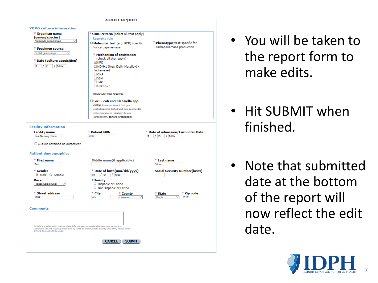#### **XDRO Report**



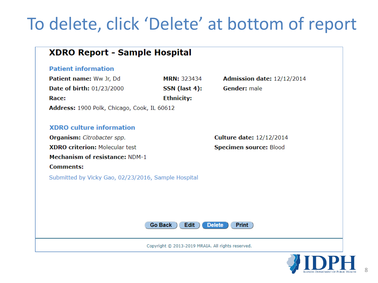### To delete, click 'Delete' at bottom of report



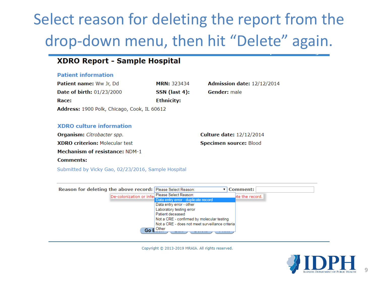### Select reason for deleting the report from the drop-down menu, then hit "Delete" again.

#### **XDRO Report - Sample Hospital**

#### **Patient information**

| <b>Patient name:</b> Ww Jr, Dd              | <b>MRN: 323434</b> | <b>Admission date: 12/12/2014</b> |  |  |  |  |  |
|---------------------------------------------|--------------------|-----------------------------------|--|--|--|--|--|
| <b>Date of birth: 01/23/2000</b>            | SSN (last 4):      | <b>Gender:</b> male               |  |  |  |  |  |
| Race:                                       | <b>Ethnicity:</b>  |                                   |  |  |  |  |  |
| Address: 1900 Polk, Chicago, Cook, IL 60612 |                    |                                   |  |  |  |  |  |

#### **XDRO** culture information

Organism: Citrobacter spp. **XDRO criterion: Molecular test Mechanism of resistance: NDM-1 Comments:** 

**Culture date: 12/12/2014** Specimen source: Blood

Submitted by Vicky Gao, 02/23/2016, Sample Hospital



Copyright @ 2013-2019 MRAIA. All rights reserved.

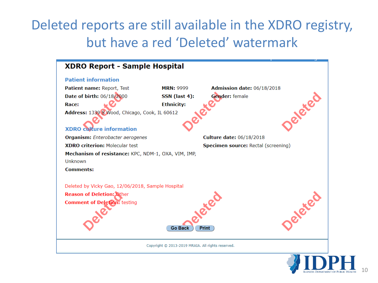#### Deleted reports are still available in the XDRO registry, but have a red 'Deleted' watermark